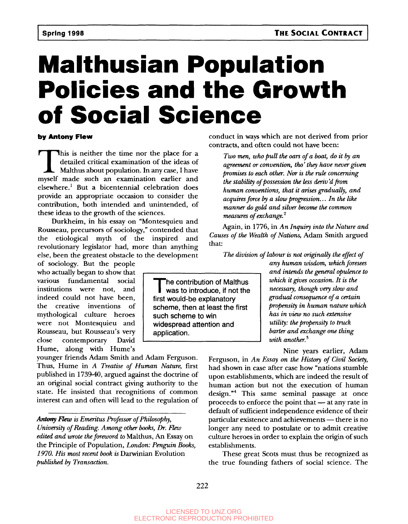## **Malthusian Population Policies and the Growth of Social Science**

#### **by Antony Flew**

This is neither the time nor the place for a detailed critical examination of the ideas of Malthus about population. In any case, I have myself made such an examination earlier and This is neither the time nor the place for a detailed critical examination of the ideas of Malthus about population. In any case, I have elsewhere.<sup>1</sup> But a bicentennial celebration does provide an appropriate occasion to consider the contribution, both intended and unintended, of these ideas to the growth of the sciences.

Durkheim, in his essay on "Montesquieu and Rousseau, precursors of sociology," contended that the etiological myth of the inspired and revolutionary legislator had, more than anything else, been the greatest obstacle to the development

of sociology. But the people who actually began to show that various fundamental social institutions were not, and indeed could not have been, the creative inventions of mythological culture heroes were not Montesquieu and Rousseau, but Rousseau's very close contemporary David Hume, along with Hume's

younger friends Adam Smith and Adam Ferguson. Thus, Hume in *A Treatise of Human Nature,* first published in 1739-40, argued against the doctrine of an original social contract giving authority to the state. He insisted that recognitions of common interest can and often will lead to the regulation of

*Antony Flew is Emeritus Professor of Philosophy, University of Reading. Among other books, Dr. Hew edited and wrote the foreword to* Malthus, An Essay on the Principle of Population, *London: Penguin Books, 1970. His most recent book is* Darwinian Evolution *published by Transaction.*

conduct in ways which are not derived from prior contracts, and often could not have been:

*Two men, who pull the oars of a boat, do it by an agreement or convention, tho' they have never given promises to each other. Nor is the rule concerning* the stability of possession the less deriv'd from *human conventions, that it arises gradually, and acquires force by a slow progression. ..In the like manner do gold and silver become the common measures of exchange}*

Again, in 1776, in *An Inquiry into the Nature and Causes of the Wealth of Nations,* Adam Smith argued that:

*The division of labour is not originally the effect of*

The contribution of Malthus<br>was to introduce, if not the he contribution of Malthus first would-be explanatory scheme, then at least the first such scheme to win widespread attention and application.

*any human wisdom, which foresees and intends the general opulence to which it gives occasion. It is the necessary, though very slow and gradual consequence of a certain propensity in human nature which has in view no such extensive utility: the propensity to truck barter and exchange one thing with another.<sup>3</sup>*

Nine years earlier, Adam Ferguson, in *An Essay on the History of Civil Society,* had shown in case after case how "nations stumble upon establishments, which are indeed the result of human action but not the execution of human design."<sup>4</sup> This same seminal passage at once proceeds to enforce the point that — at any rate in default of sufficient independence evidence of their particular existence and achievements — there is no longer any need to postulate or to admit creative culture heroes in order to explain the origin of such establishments.

These great Scots must thus be recognized as the true founding fathers of social science. The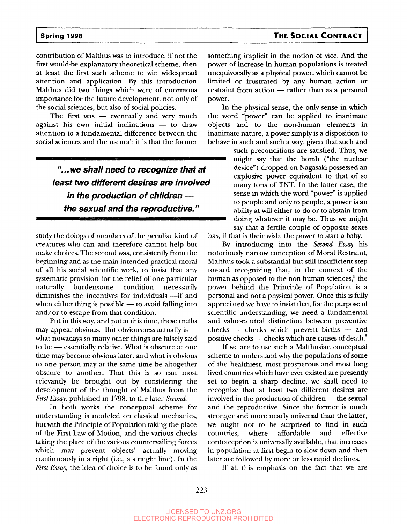### **Spring 1998 THE SOCIAL CONTRACT**

contribution of Malthus was to introduce, if not the first would-be explanatory theoretical scheme, then at least the first such scheme to win widespread attention and application. By this introduction Malthus did two things which were of enormous importance for the future development, not only of the social sciences, but also of social policies.

The first was — eventually and very much against his own initial inclinations — to draw attention to a fundamental difference between the social sciences and the natural: it is that the former

> "...we shall need to recognize that at least two different desires are involved in the production of children the sexual and the reproductive."

study the doings of members of the peculiar kind of creatures who can and therefore cannot help but make choices. The second was, consistently from the beginning and as the main intended practical moral of all his social scientific work, to insist that any systematic provision for the relief of one particular naturally burdensome condition necessarily diminishes the incentives for individuals —if and when either thing is possible — to avoid falling into and/or to escape from that condition.

Put in this way, and put at this time, these truths may appear obvious. But obviousness actually is what nowadays so many other things are falsely said to be — essentially relative. What is obscure at one time may become obvious later, and what is obvious to one person may at the same time be altogether obscure to another. That this is so can most relevantly be brought out by considering the development of the thought of Malthus from the *First Essay,* published in 1798, to the later *Second.*

In both works the conceptual scheme for understanding is modeled on classical mechanics, but with the Principle of Population taking the place of the First Law of Motion, and the various checks taking the place of the various countervailing forces which may prevent objects' actually moving continuously in a right (i.e., a straight line). In the *First Essay,* the idea of choice is to be found only as

something implicit in the notion of vice. And the power of increase in human populations is treated unequivocally as a physical power, which cannot be limited or frustrated by any human action or restraint from action — rather than as a personal power.

In the physical sense, the only sense in which the word "power" can be applied to inanimate objects and to the non-human elements in inanimate nature, a power simply is a disposition to behave in such and such a way, given that such and

such preconditions are satisfied. Thus, we might say that the bomb ("the nuclear device") dropped on Nagasaki possessed an explosive power equivalent to that of so many tons of TNT. In the latter case, the sense in which the word "power" is applied to people and only to people, a power is an ability at will either to do or to abstain from doing whatever it may be. Thus we might say that a fertile couple of opposite sexes has, if that is their wish, the power to start a baby.

By introducing into the *Second Essay* his notoriously narrow conception of Moral Restraint, Malthus took a substantial but still insufficient step toward recognizing that, in the context of the human as opposed to the non-human sciences,<sup>5</sup> the power behind the Principle of Population is a personal and not a physical power. Once this is fully appreciated we have to insist that, for the purpose of scientific understanding, we need a fundamental and value-neutral distinction between preventive checks — checks which prevent births — and positive checks — checks which are causes of death. $^6$ 

If we are to use such a Malthusian conceptual scheme to understand why the populations of some of the healthiest, most prosperous and most long lived countries which have ever existed are presently set to begin a sharp decline, we shall need to recognize that at least two different desires are involved in the production of children — the sexual and the reproductive. Since the former is much stronger and more nearly universal than the latter, we ought not to be surprised to find in such countries, where affordable and effective contraception is universally available, that increases in population at first begin to slow down and then later are followed by more or less rapid declines.

If all this emphasis on the fact that we are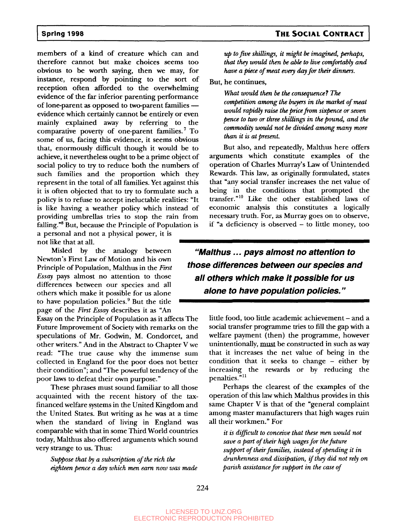members of a kind of creature which can and therefore cannot but make choices seems too obvious to be worth saying, then we may, for instance, respond by pointing to the sort of reception often afforded to the overwhelming evidence of the far inferior parenting performance of lone-parent as opposed to two-parent families evidence which certainly cannot be entirely or even mainly explained away by referring to the comparative poverty of one-parent families.<sup>7</sup> To some of us, facing this evidence, it seems obvious that, enormously difficult though it would be to achieve, it nevertheless ought to be a prime object of social policy to try to reduce both the numbers of such families and the proportion which they represent in the total of all families. Yet against this it is often objected that to try to formulate such a policy is to refuse to accept ineluctable realities: "It is like having a weather policy which instead of providing umbrellas tries to stop the rain from falling."<sup>8</sup> But, because the Principle of Population is a personal and not a physical power, it is not like that at all. *'^^^<sup>m</sup>*

Misled by the analogy between Newton's First Law of Motion and his own Principle of Population, Malthus in the *First Essay* pays almost no attention to those differences between our species and all others which make it possible for us alone to have population policies.<sup>9</sup> But the title *<sup>m</sup>"* page of the *First Essay* describes it as "An

Essay on the Principle of Population as it affects The Future Improvement of Society with remarks on the speculations of Mr. Godwin, M. Condorcet, and other writers." And in the Abstract to Chapter V we read: "The true cause why the immense sum collected in England for the poor does not better their condition"; and "The powerful tendency of the poor laws to defeat their own purpose."

These phrases must sound familiar to all those acquainted with the recent history of the taxfinanced welfare systems in the United Kingdom and the United States. But writing as he was at a time when the standard of living in England was comparable with that in some Third World countries today, Malthus also offered arguments which sound very strange to us. Thus:

*Suppose that by a subscription of the rich the eighteen pence a day which men earn now was made*

*up to five shillings, it might be imagined, perhaps, that they would then be able to live comfortably and have a piece of meat every day for their dinners.*

But, he continues,

*What would then be the consequence\* The competition among the buyers in the market of meat would rapidly raise the price from sixpence or seven pence to two or three shillings in the pound, and the commodity would not be divided among many more than it is at present.*

But also, and repeatedly, Malthus here offers arguments which constitute examples of the operation of Charles Murray's Law of Unintended Rewards. This law, as originally formulated, states that "any social transfer increases the net value of being in the conditions that prompted the transfer."<sup>10</sup> Like the other established laws of economic analysis this constitutes a logically necessary truth. For, as Murray goes on to observe, if "a deficiency is observed - to little money, too

**"Malthus... pays almost no attention to those differences between our species and all others which make it possible for us alone to have population policies."**

> little food, too little academic achievement – and a social transfer programme tries to fill the gap with a welfare payment (then) the programme, however unintentionally, must be constructed in such as way that it increases the net value of being in the condition that it seeks to change - either by increasing the rewards or by reducing the penalties."<sup>11</sup>

> Perhaps the clearest of the examples of the operation of this law which Malthus provides in this same Chapter V is that of the "general complaint among master manufacturers that high wages ruin all their workmen." For

*it is difficult to conceive that these men would not save a part of their high wages for the future support of their families, instead of spending it in drunkenness and dissipation, if they did not rely on parish assistance for support in the case of*

*lll^ m*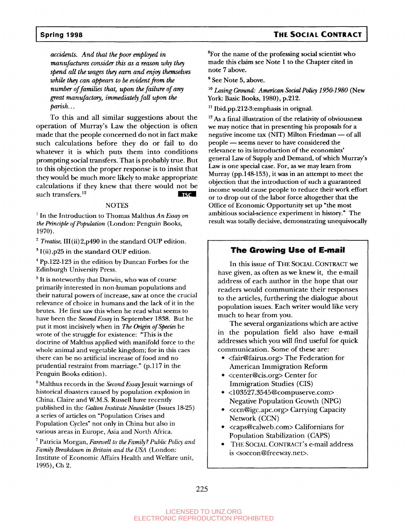## **Spring 1998 THE SOCIAL CONTRACT**

*accidents. And that the poor employed in manufactures consider this as a reason why they spend all the wages they earn and enjoy themselves while they can appears to be evident from the number of families that, upon the failure of any great manufactory, immediately fall upon the parish...*

To this and all similar suggestions about the operation of Murray's Law the objection is often made that the people concerned do not in fact make such calculations before they do or fail to do whatever it is which puts them into conditions prompting social transfers. That is probably true. But to this objection the proper response is to insist that they would be much more likely to make appropriate calculations if they knew that there would not be such transfers.<sup>12</sup>  $TSC$ 

#### **NOTES**

1 In the Introduction to Thomas Malthus *An Essay on the Principle of Population* (London: Penguin Books, 1970).

<sup>2</sup> Treatise, III(ii)2,p490 in the standard OUP edition.

 $3$  I(ii), p25 in the standard OUP edition.

<sup>4</sup> Pp.122-123 in the edition by Duncan Forbes for the Edinburgh University Press.

<sup>5</sup> It is noteworthy that Darwin, who was of course primarily interested in non-human populations and their natural powers of increase, saw at once the crucial relevance of choice in humans and the lack of it in the brutes. He first saw this when he read what seems to have been the *Second Essay* in September 1838. But he put it most incisively when in *The Origin of Species* he wrote of the struggle for existence: "This is the doctrine of Malthus applied with manifold force to the whole animal and vegetable kingdom; for in this caes there can be no artificial increase of food and no prudential restraint from marriage." (p.117 in the Penguin Books edition).

6 Malthus records in the *Second Essay* Jesuit warnings of historical disasters caused by population explosion in China. Claire and W.M.S. Russell have recently published in the *Gallon Institute Newsletter* (Issues 18-25) a series of articles on "Population Crises and Population Cycles" not only in China but also in various areas in Europe, Asia and North Africa.

Patricia Morgan, *Farewell to the Family ? Public Policy and Family Breakdown in Britain and the USA* (London: Institute of Economic Affairs Health and Welfare unit, 1995), Ch 2.

<sup>8</sup>For the name of the professing social scientist who made this claim see Note 1 to die Chapter cited in note 7 above.

<sup>9</sup> See Note 5, above.

10  *Losing Ground: American Social Policy 1950-1980* (New York: Basic Books, 1980), p.212.

<sup>11</sup> Ibid.pp.212-3:emphasis in orignal.

<sup>12</sup> As a final illustration of the relativity of obviousness we may notice that in presenting his proposals for a negative income tax (NIT) Milton Friedman — of all people — seems never to have considered the relevance to its introduction of the economists' general Law of Supply and Demand, of which Murray's Law is one special case. For, as we may learn from Murray (pp.148-153), it was in an attempt to meet the objection that the introduction of such a guaranteed income would cause people to reduce dieir work effort or to drop out of the labor force altogether that the Office of Economic Opportunity set up "the most ambitious social-science experiment in history." The result was totally decisive, demonstrating unequivocally

#### **The Growing Use of E-mail**

In this issue of THE SOCIAL CONTRACT we have given, as often as we knew it, the e-mail address of each author in the hope that our readers would communicate their responses to the articles, furthering the dialogue about population issues. Each writer would like very much to hear from you.

The several organizations which are active in the population field also have e-mail addresses which you will find useful for quick communication. Some of these are:

- <fair@fairus.org>The Federation for American Immigration Reform
- <center@cis.org> Center for Immigration Studies (CIS)
- <103527.3545@compuserve.corn> Negative Population Growth (NPG)
- <ccn@igc.apc.org> Carrying Capacity Network (CCN)
- <caps@calweb.com> Californians for Population Stabilization (CAPS)
- THE SOCIAL CONTRACT'S e-mail address is <soccon@freeway.net>.